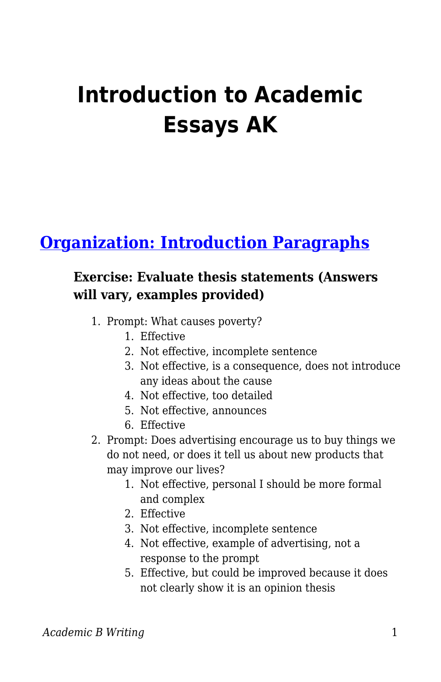# **Introduction to Academic Essays AK**

## **[Organization: Introduction Paragraphs](https://edtechbooks.org/academic_b_writing_p/introduction_paragrap)**

#### **Exercise: Evaluate thesis statements (Answers will vary, examples provided)**

- 1. Prompt: What causes poverty?
	- 1. Effective
	- 2. Not effective, incomplete sentence
	- 3. Not effective, is a consequence, does not introduce any ideas about the cause
	- 4. Not effective, too detailed
	- 5. Not effective, announces
	- 6. Effective
- 2. Prompt: Does advertising encourage us to buy things we do not need, or does it tell us about new products that may improve our lives?
	- 1. Not effective, personal I should be more formal and complex
	- 2. Effective
	- 3. Not effective, incomplete sentence
	- 4. Not effective, example of advertising, not a response to the prompt
	- 5. Effective, but could be improved because it does not clearly show it is an opinion thesis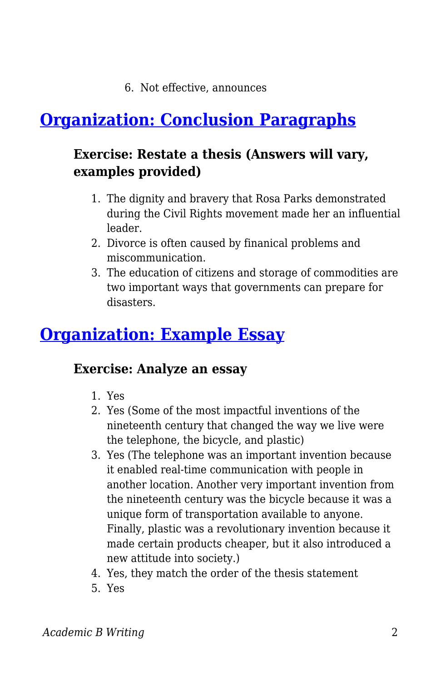6. Not effective, announces

## **[Organization: Conclusion Paragraphs](https://edtechbooks.org/academic_b_writing_p/conclusion_paragraph)**

#### **Exercise: Restate a thesis (Answers will vary, examples provided)**

- 1. The dignity and bravery that Rosa Parks demonstrated during the Civil Rights movement made her an influential leader.
- 2. Divorce is often caused by finanical problems and miscommunication.
- 3. The education of citizens and storage of commodities are two important ways that governments can prepare for disasters.

## **[Organization: Example Essay](https://edtechbooks.org/academic_b_writing_p/example_essayP)**

#### **Exercise: Analyze an essay**

- 1. Yes
- 2. Yes (Some of the most impactful inventions of the nineteenth century that changed the way we live were the telephone, the bicycle, and plastic)
- 3. Yes (The telephone was an important invention because it enabled real-time communication with people in another location. Another very important invention from the nineteenth century was the bicycle because it was a unique form of transportation available to anyone. Finally, plastic was a revolutionary invention because it made certain products cheaper, but it also introduced a new attitude into society.)
- 4. Yes, they match the order of the thesis statement
- 5. Yes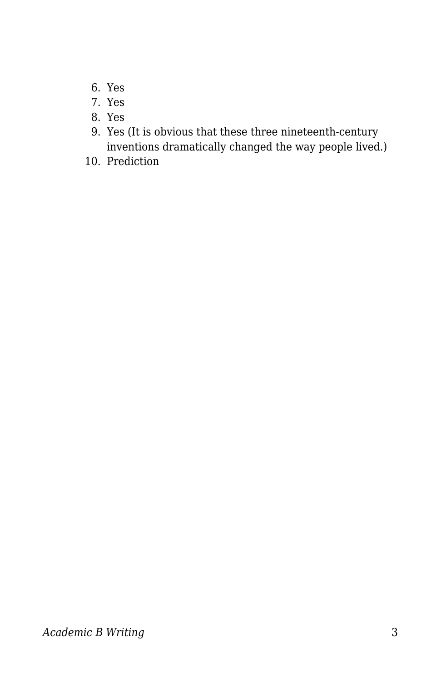- 6. Yes
- 7. Yes
- 8. Yes
- 9. Yes (It is obvious that these three nineteenth-century inventions dramatically changed the way people lived.)
- 10. Prediction